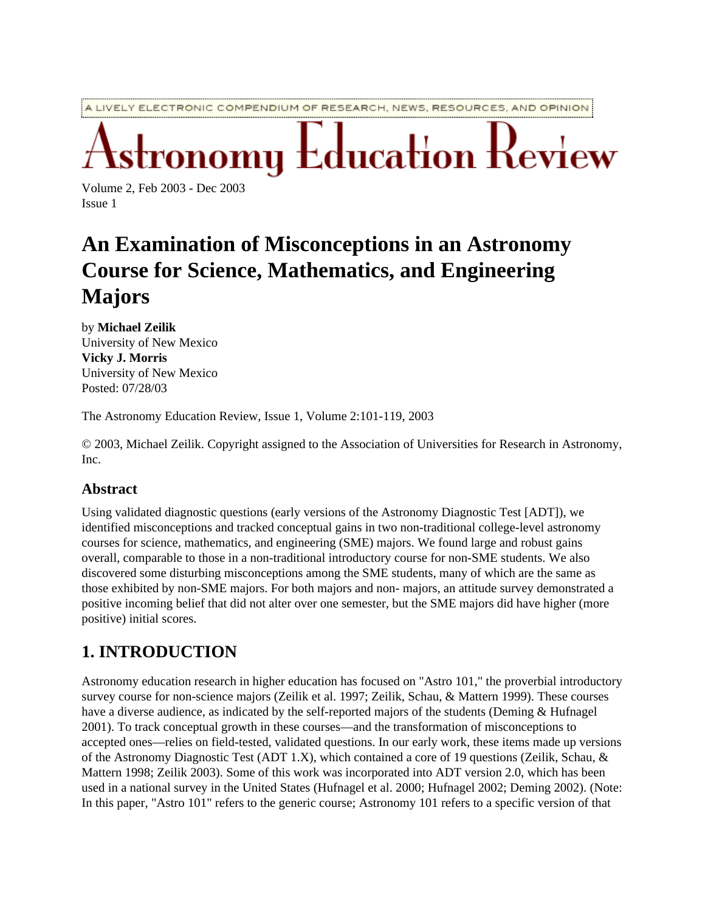A LIVELY ELECTRONIC COMPENDIUM OF RESEARCH, NEWS, RESOURCES, AND OPINION

 $\operatorname{\mathsf{L}ducation}$   $\operatorname{\mathsf{I}}$ 

Volume 2, Feb 2003 - Dec 2003 Issue 1

# **An Examination of Misconceptions in an Astronomy Course for Science, Mathematics, and Engineering Majors**

by **Michael Zeilik** University of New Mexico **Vicky J. Morris** University of New Mexico Posted: 07/28/03

The Astronomy Education Review, Issue 1, Volume 2:101-119, 2003

© 2003, Michael Zeilik. Copyright assigned to the Association of Universities for Research in Astronomy, Inc.

#### **Abstract**

Using validated diagnostic questions (early versions of the Astronomy Diagnostic Test [ADT]), we identified misconceptions and tracked conceptual gains in two non-traditional college-level astronomy courses for science, mathematics, and engineering (SME) majors. We found large and robust gains overall, comparable to those in a non-traditional introductory course for non-SME students. We also discovered some disturbing misconceptions among the SME students, many of which are the same as those exhibited by non-SME majors. For both majors and non- majors, an attitude survey demonstrated a positive incoming belief that did not alter over one semester, but the SME majors did have higher (more positive) initial scores.

# **1. INTRODUCTION**

Astronomy education research in higher education has focused on "Astro 101," the proverbial introductory survey course for non-science majors (Zeilik et al. 1997; Zeilik, Schau, & Mattern 1999). These courses have a diverse audience, as indicated by the self-reported majors of the students (Deming & Hufnagel 2001). To track conceptual growth in these courses—and the transformation of misconceptions to accepted ones—relies on field-tested, validated questions. In our early work, these items made up versions of the Astronomy Diagnostic Test (ADT 1.X), which contained a core of 19 questions (Zeilik, Schau, & Mattern 1998; Zeilik 2003). Some of this work was incorporated into ADT version 2.0, which has been used in a national survey in the United States (Hufnagel et al. 2000; Hufnagel 2002; Deming 2002). (Note: In this paper, "Astro 101" refers to the generic course; Astronomy 101 refers to a specific version of that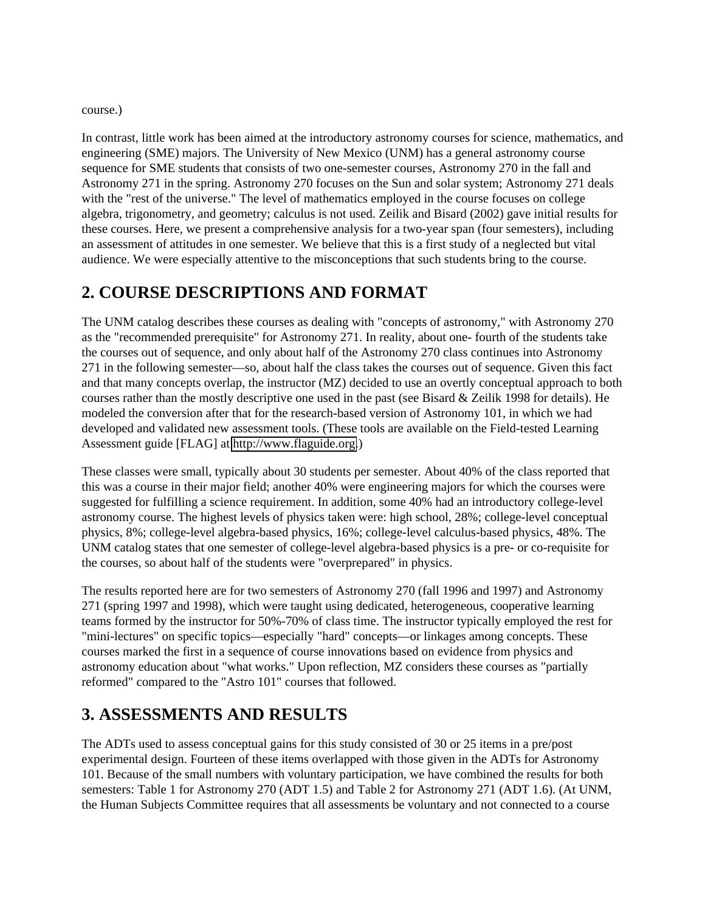course.)

In contrast, little work has been aimed at the introductory astronomy courses for science, mathematics, and engineering (SME) majors. The University of New Mexico (UNM) has a general astronomy course sequence for SME students that consists of two one-semester courses, Astronomy 270 in the fall and Astronomy 271 in the spring. Astronomy 270 focuses on the Sun and solar system; Astronomy 271 deals with the "rest of the universe." The level of mathematics employed in the course focuses on college algebra, trigonometry, and geometry; calculus is not used. Zeilik and Bisard (2002) gave initial results for these courses. Here, we present a comprehensive analysis for a two-year span (four semesters), including an assessment of attitudes in one semester. We believe that this is a first study of a neglected but vital audience. We were especially attentive to the misconceptions that such students bring to the course.

# **2. COURSE DESCRIPTIONS AND FORMAT**

The UNM catalog describes these courses as dealing with "concepts of astronomy," with Astronomy 270 as the "recommended prerequisite" for Astronomy 271. In reality, about one- fourth of the students take the courses out of sequence, and only about half of the Astronomy 270 class continues into Astronomy 271 in the following semester—so, about half the class takes the courses out of sequence. Given this fact and that many concepts overlap, the instructor (MZ) decided to use an overtly conceptual approach to both courses rather than the mostly descriptive one used in the past (see Bisard & Zeilik 1998 for details). He modeled the conversion after that for the research-based version of Astronomy 101, in which we had developed and validated new assessment tools. (These tools are available on the Field-tested Learning Assessment guide [FLAG] at [http://www.flaguide.org.](http://www.flaguide.org/))

These classes were small, typically about 30 students per semester. About 40% of the class reported that this was a course in their major field; another 40% were engineering majors for which the courses were suggested for fulfilling a science requirement. In addition, some 40% had an introductory college-level astronomy course. The highest levels of physics taken were: high school, 28%; college-level conceptual physics, 8%; college-level algebra-based physics, 16%; college-level calculus-based physics, 48%. The UNM catalog states that one semester of college-level algebra-based physics is a pre- or co-requisite for the courses, so about half of the students were "overprepared" in physics.

The results reported here are for two semesters of Astronomy 270 (fall 1996 and 1997) and Astronomy 271 (spring 1997 and 1998), which were taught using dedicated, heterogeneous, cooperative learning teams formed by the instructor for 50%-70% of class time. The instructor typically employed the rest for "mini-lectures" on specific topics—especially "hard" concepts—or linkages among concepts. These courses marked the first in a sequence of course innovations based on evidence from physics and astronomy education about "what works." Upon reflection, MZ considers these courses as "partially reformed" compared to the "Astro 101" courses that followed.

# **3. ASSESSMENTS AND RESULTS**

The ADTs used to assess conceptual gains for this study consisted of 30 or 25 items in a pre/post experimental design. Fourteen of these items overlapped with those given in the ADTs for Astronomy 101. Because of the small numbers with voluntary participation, we have combined the results for both semesters: Table 1 for Astronomy 270 (ADT 1.5) and Table 2 for Astronomy 271 (ADT 1.6). (At UNM, the Human Subjects Committee requires that all assessments be voluntary and not connected to a course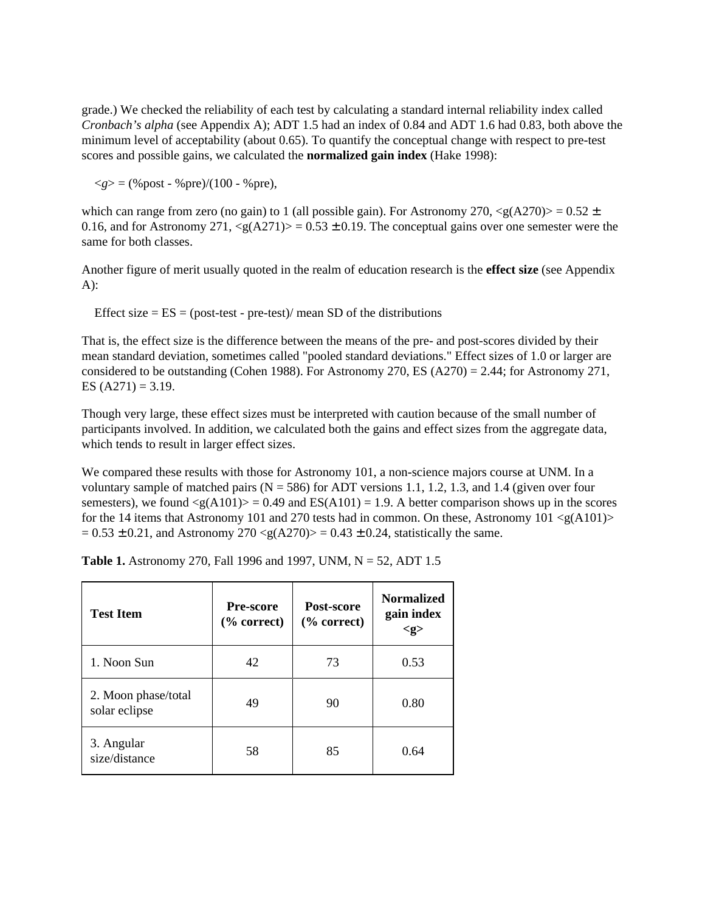grade.) We checked the reliability of each test by calculating a standard internal reliability index called *Cronbach's alpha* (see Appendix A); ADT 1.5 had an index of 0.84 and ADT 1.6 had 0.83, both above the minimum level of acceptability (about 0.65). To quantify the conceptual change with respect to pre-test scores and possible gains, we calculated the **normalized gain index** (Hake 1998):

 $\langle g \rangle = (\% \text{post} - \% \text{pre})/(100 - \% \text{pre}),$ 

which can range from zero (no gain) to 1 (all possible gain). For Astronomy 270,  $\langle g(A270)\rangle = 0.52 \pm 1$ 0.16, and for Astronomy 271,  $\langle g(A271) \rangle = 0.53 \pm 0.19$ . The conceptual gains over one semester were the same for both classes.

Another figure of merit usually quoted in the realm of education research is the **effect size** (see Appendix A):

Effect size  $= ES = (post-test - pre-test)/$  mean SD of the distributions

That is, the effect size is the difference between the means of the pre- and post-scores divided by their mean standard deviation, sometimes called "pooled standard deviations." Effect sizes of 1.0 or larger are considered to be outstanding (Cohen 1988). For Astronomy 270, ES (A270) = 2.44; for Astronomy 271, ES  $(A271) = 3.19$ .

Though very large, these effect sizes must be interpreted with caution because of the small number of participants involved. In addition, we calculated both the gains and effect sizes from the aggregate data, which tends to result in larger effect sizes.

We compared these results with those for Astronomy 101, a non-science majors course at UNM. In a voluntary sample of matched pairs ( $N = 586$ ) for ADT versions 1.1, 1.2, 1.3, and 1.4 (given over four semesters), we found  $\langle g(A101) \rangle = 0.49$  and  $ES(A101) = 1.9$ . A better comparison shows up in the scores for the 14 items that Astronomy 101 and 270 tests had in common. On these, Astronomy 101  $\leq g(A101)$  $= 0.53 \pm 0.21$ , and Astronomy 270  $\langle g(A270) \rangle = 0.43 \pm 0.24$ , statistically the same.

| <b>Test Item</b>                     | <b>Pre-score</b><br>$\frac{6}{6}$ correct) | Post-score<br>$%$ correct) | <b>Normalized</b><br>gain index<br><g></g> |
|--------------------------------------|--------------------------------------------|----------------------------|--------------------------------------------|
| 1. Noon Sun                          | 42                                         | 73                         | 0.53                                       |
| 2. Moon phase/total<br>solar eclipse | 49                                         | 90                         | 0.80                                       |
| 3. Angular<br>size/distance          | 58                                         | 85                         | 0.64                                       |

**Table 1.** Astronomy 270, Fall 1996 and 1997, UNM,  $N = 52$ , ADT 1.5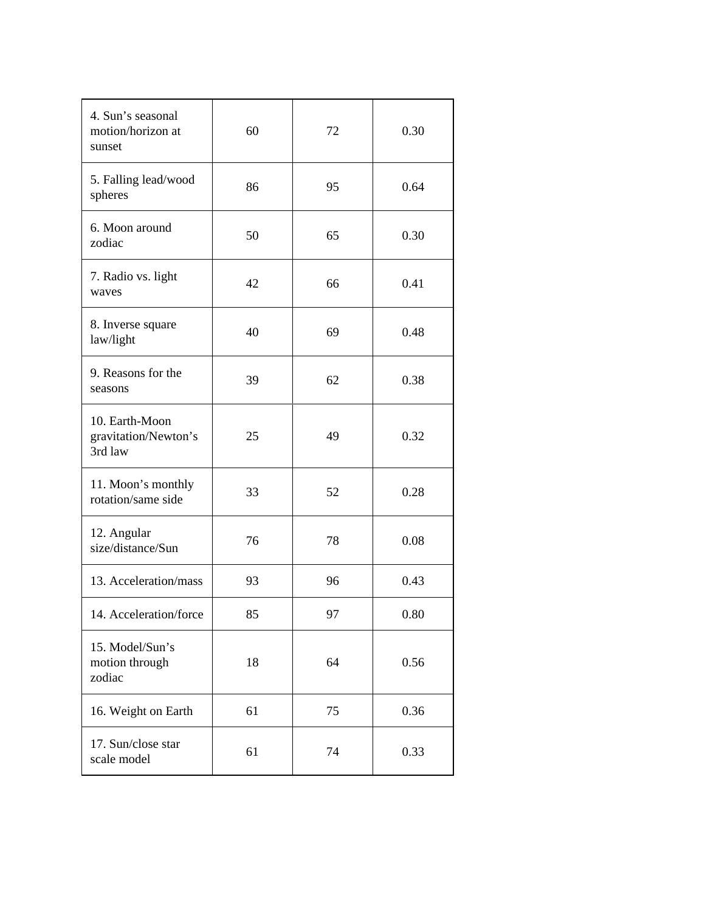| 4. Sun's seasonal<br>motion/horizon at<br>sunset  | 60 | 72 | 0.30 |
|---------------------------------------------------|----|----|------|
| 5. Falling lead/wood<br>spheres                   | 86 | 95 | 0.64 |
| 6. Moon around<br>zodiac                          | 50 | 65 | 0.30 |
| 7. Radio vs. light<br>waves                       | 42 | 66 | 0.41 |
| 8. Inverse square<br>law/light                    | 40 | 69 | 0.48 |
| 9. Reasons for the<br>seasons                     | 39 | 62 | 0.38 |
| 10. Earth-Moon<br>gravitation/Newton's<br>3rd law | 25 | 49 | 0.32 |
| 11. Moon's monthly<br>rotation/same side          | 33 | 52 | 0.28 |
| 12. Angular<br>size/distance/Sun                  | 76 | 78 | 0.08 |
| 13. Acceleration/mass                             | 93 | 96 | 0.43 |
| 14. Acceleration/force                            | 85 | 97 | 0.80 |
| 15. Model/Sun's<br>motion through<br>zodiac       | 18 | 64 | 0.56 |
| 16. Weight on Earth                               | 61 | 75 | 0.36 |
| 17. Sun/close star<br>scale model                 | 61 | 74 | 0.33 |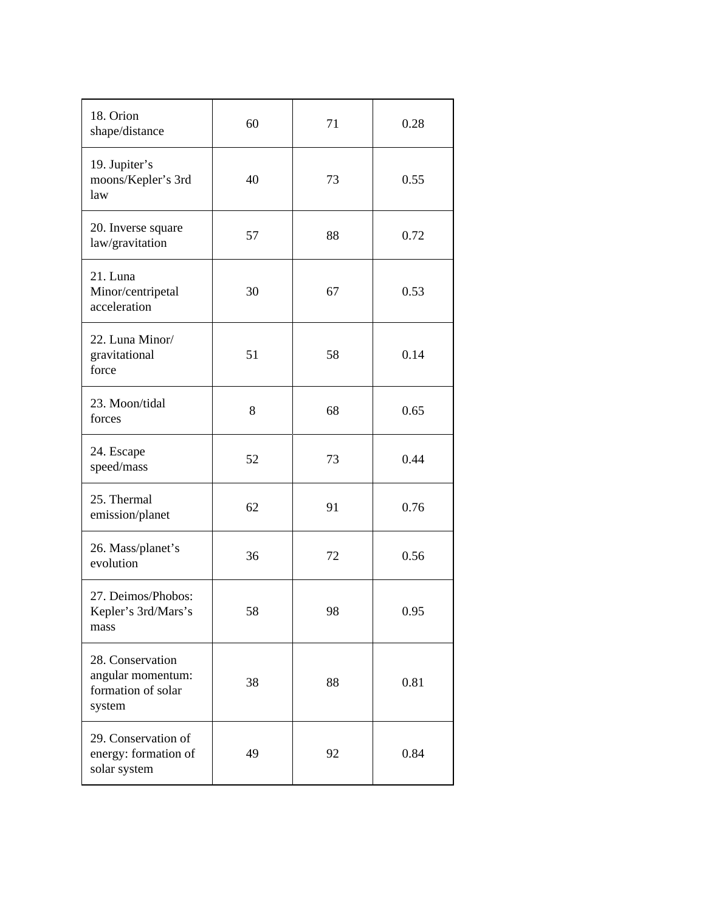| 18. Orion<br>shape/distance                                           | 60 | 71 | 0.28 |
|-----------------------------------------------------------------------|----|----|------|
| 19. Jupiter's<br>moons/Kepler's 3rd<br>law                            | 40 | 73 | 0.55 |
| 20. Inverse square<br>law/gravitation                                 | 57 | 88 | 0.72 |
| 21. Luna<br>Minor/centripetal<br>acceleration                         | 30 | 67 | 0.53 |
| 22. Luna Minor/<br>gravitational<br>force                             | 51 | 58 | 0.14 |
| 23. Moon/tidal<br>forces                                              | 8  | 68 | 0.65 |
| 24. Escape<br>speed/mass                                              | 52 | 73 | 0.44 |
| 25. Thermal<br>emission/planet                                        | 62 | 91 | 0.76 |
| 26. Mass/planet's<br>evolution                                        | 36 | 72 | 0.56 |
| 27. Deimos/Phobos:<br>Kepler's 3rd/Mars's<br>mass                     | 58 | 98 | 0.95 |
| 28. Conservation<br>angular momentum:<br>formation of solar<br>system | 38 | 88 | 0.81 |
| 29. Conservation of<br>energy: formation of<br>solar system           | 49 | 92 | 0.84 |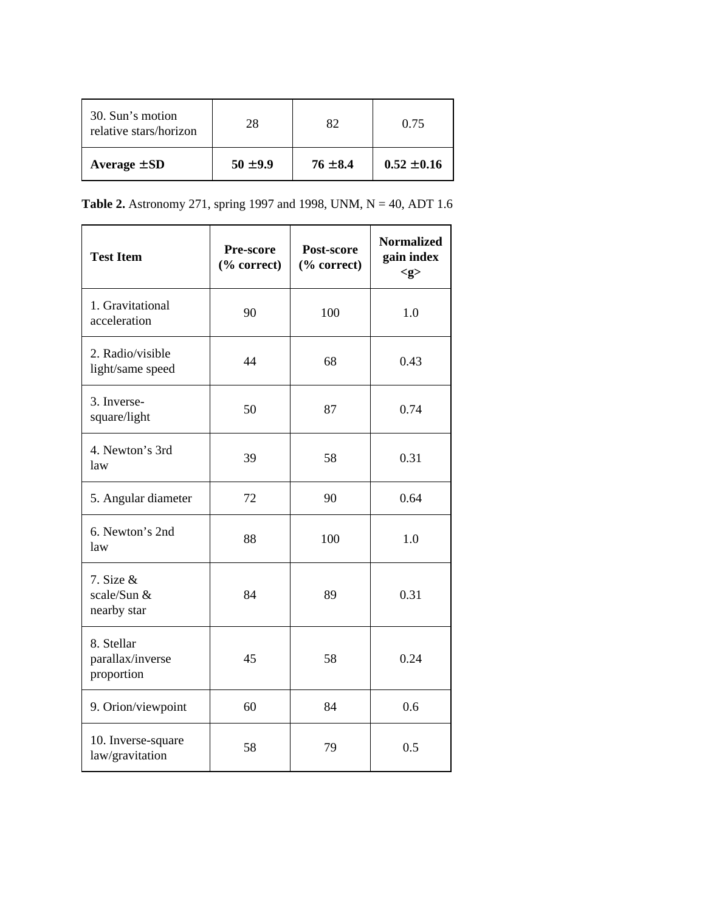| 30. Sun's motion<br>relative stars/horizon | 28           | 82.          | 0.75            |
|--------------------------------------------|--------------|--------------|-----------------|
| Average $\pm$ SD                           | $50 \pm 9.9$ | $76 \pm 8.4$ | $0.52 \pm 0.16$ |

**Table 2.** Astronomy 271, spring 1997 and 1998, UNM, N = 40, ADT 1.6

| <b>Test Item</b>                             | Pre-score<br>(% correct) | Post-score<br>(% correct) | <b>Normalized</b><br>gain index<br>< g > |
|----------------------------------------------|--------------------------|---------------------------|------------------------------------------|
| 1. Gravitational<br>acceleration             | 90                       | 100                       | 1.0                                      |
| 2. Radio/visible<br>light/same speed         | 44                       | 68                        | 0.43                                     |
| 3. Inverse-<br>square/light                  | 50                       | 87                        | 0.74                                     |
| 4. Newton's 3rd<br>law                       | 39                       | 58                        | 0.31                                     |
| 5. Angular diameter                          | 72                       | 90                        | 0.64                                     |
| 6. Newton's 2nd<br>law                       | 88                       | 100                       | 1.0                                      |
| 7. Size $&$<br>scale/Sun &<br>nearby star    | 84                       | 89                        | 0.31                                     |
| 8. Stellar<br>parallax/inverse<br>proportion | 45                       | 58                        | 0.24                                     |
| 9. Orion/viewpoint                           | 60                       | 84                        | 0.6                                      |
| 10. Inverse-square<br>law/gravitation        | 58                       | 79                        | 0.5                                      |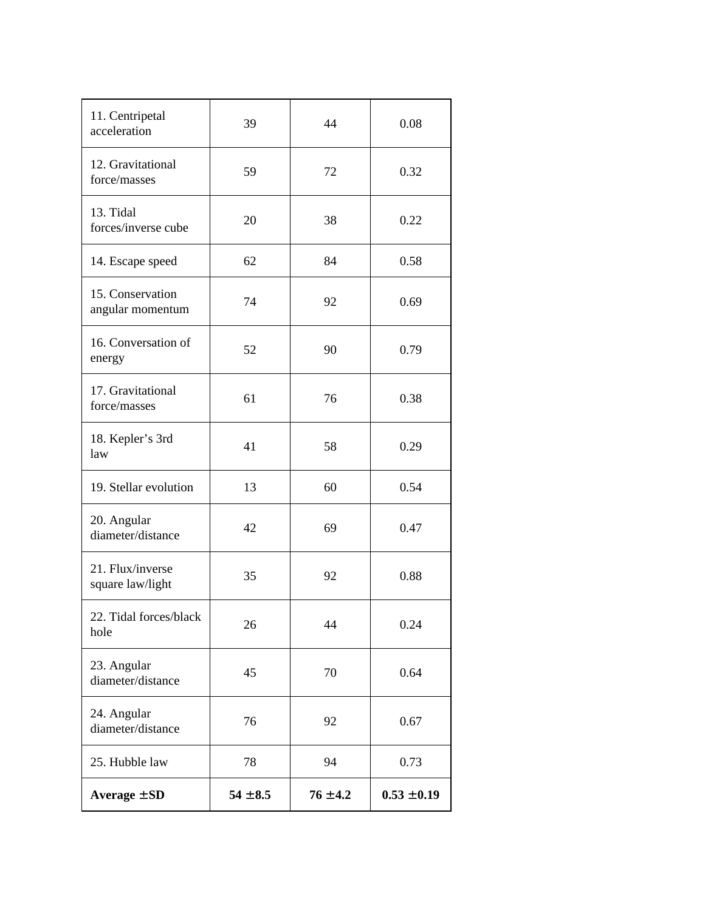| 11. Centripetal<br>acceleration      | 39           | 44           | 0.08            |
|--------------------------------------|--------------|--------------|-----------------|
| 12. Gravitational<br>force/masses    | 59           | 72           | 0.32            |
| 13. Tidal<br>forces/inverse cube     | 20           | 38           | 0.22            |
| 14. Escape speed                     | 62           | 84           | 0.58            |
| 15. Conservation<br>angular momentum | 74           | 92           | 0.69            |
| 16. Conversation of<br>energy        | 52           | 90           | 0.79            |
| 17. Gravitational<br>force/masses    | 61           | 76           | 0.38            |
| 18. Kepler's 3rd<br>law              | 41           | 58           | 0.29            |
| 19. Stellar evolution                | 13           | 60           | 0.54            |
| 20. Angular<br>diameter/distance     | 42           | 69           | 0.47            |
| 21. Flux/inverse<br>square law/light | 35           | 92           | 0.88            |
| 22. Tidal forces/black<br>hole       | 26           | 44           | 0.24            |
| 23. Angular<br>diameter/distance     | 45           | 70           | 0.64            |
| 24. Angular<br>diameter/distance     | 76           | 92           | 0.67            |
| 25. Hubble law                       | 78           | 94           | 0.73            |
| Average $\pm$ SD                     | $54 \pm 8.5$ | $76 \pm 4.2$ | $0.53 \pm 0.19$ |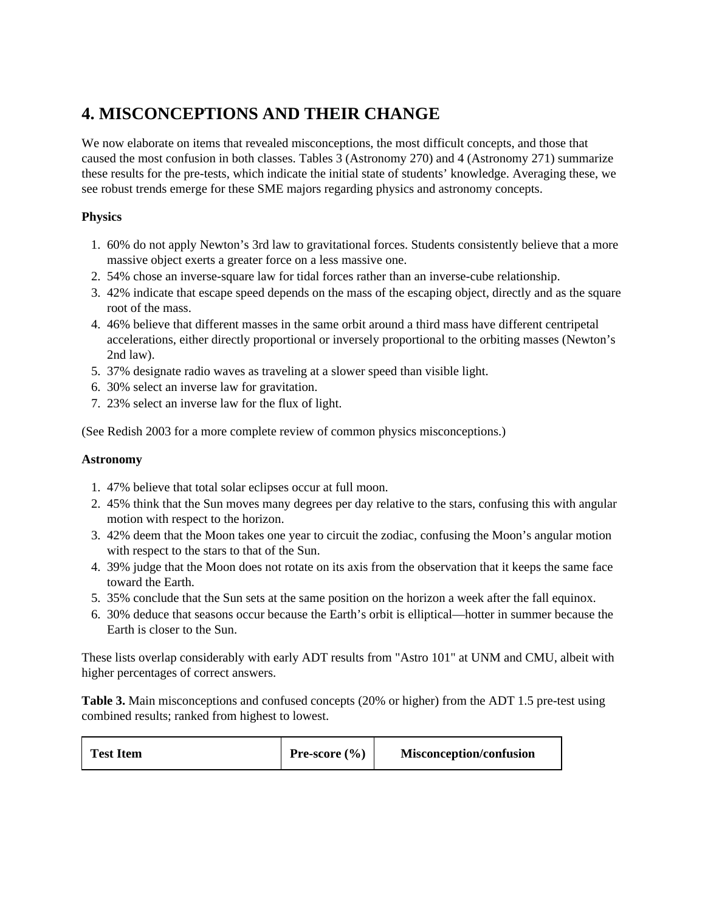# **4. MISCONCEPTIONS AND THEIR CHANGE**

We now elaborate on items that revealed misconceptions, the most difficult concepts, and those that caused the most confusion in both classes. Tables 3 (Astronomy 270) and 4 (Astronomy 271) summarize these results for the pre-tests, which indicate the initial state of students' knowledge. Averaging these, we see robust trends emerge for these SME majors regarding physics and astronomy concepts.

#### **Physics**

- 1. 60% do not apply Newton's 3rd law to gravitational forces. Students consistently believe that a more massive object exerts a greater force on a less massive one.
- 2. 54% chose an inverse-square law for tidal forces rather than an inverse-cube relationship.
- 3. 42% indicate that escape speed depends on the mass of the escaping object, directly and as the square root of the mass.
- 4. 46% believe that different masses in the same orbit around a third mass have different centripetal accelerations, either directly proportional or inversely proportional to the orbiting masses (Newton's 2nd law).
- 5. 37% designate radio waves as traveling at a slower speed than visible light.
- 6. 30% select an inverse law for gravitation.
- 7. 23% select an inverse law for the flux of light.

(See Redish 2003 for a more complete review of common physics misconceptions.)

#### **Astronomy**

- 1. 47% believe that total solar eclipses occur at full moon.
- 2. 45% think that the Sun moves many degrees per day relative to the stars, confusing this with angular motion with respect to the horizon.
- 3. 42% deem that the Moon takes one year to circuit the zodiac, confusing the Moon's angular motion with respect to the stars to that of the Sun.
- 4. 39% judge that the Moon does not rotate on its axis from the observation that it keeps the same face toward the Earth.
- 5. 35% conclude that the Sun sets at the same position on the horizon a week after the fall equinox.
- 6. 30% deduce that seasons occur because the Earth's orbit is elliptical—hotter in summer because the Earth is closer to the Sun.

These lists overlap considerably with early ADT results from "Astro 101" at UNM and CMU, albeit with higher percentages of correct answers.

**Table 3.** Main misconceptions and confused concepts (20% or higher) from the ADT 1.5 pre-test using combined results; ranked from highest to lowest.

| <b>Test Item</b> | <b>Pre-score</b> $(\% )$ | <b>Misconception/confusion</b> |
|------------------|--------------------------|--------------------------------|
|------------------|--------------------------|--------------------------------|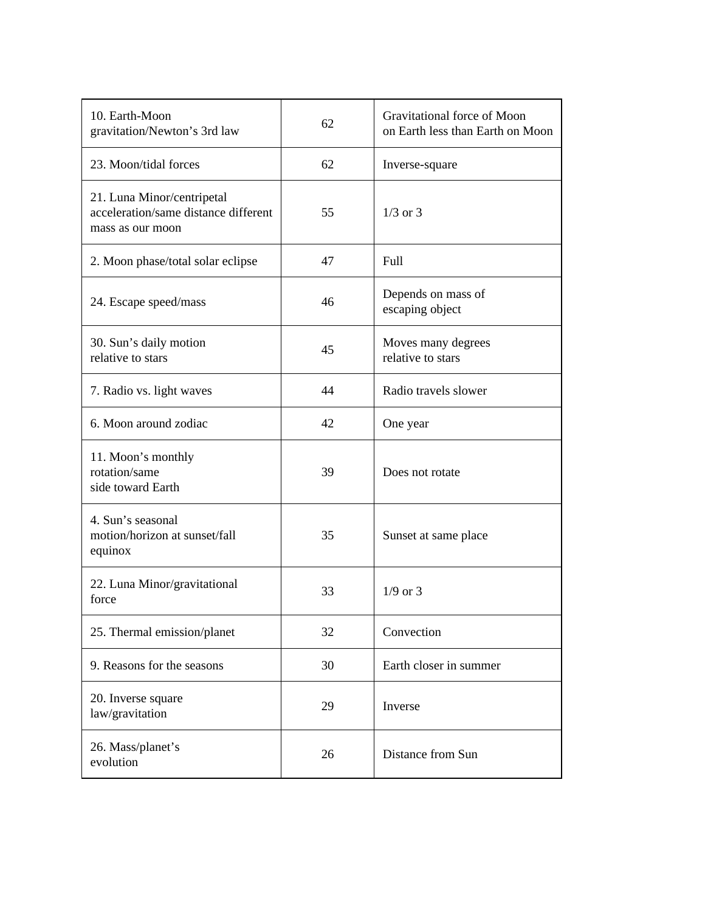| 10. Earth-Moon<br>gravitation/Newton's 3rd law                                         | 62 | Gravitational force of Moon<br>on Earth less than Earth on Moon |
|----------------------------------------------------------------------------------------|----|-----------------------------------------------------------------|
| 23. Moon/tidal forces                                                                  | 62 | Inverse-square                                                  |
| 21. Luna Minor/centripetal<br>acceleration/same distance different<br>mass as our moon | 55 | $1/3$ or $3$                                                    |
| 2. Moon phase/total solar eclipse                                                      | 47 | Full                                                            |
| 24. Escape speed/mass                                                                  | 46 | Depends on mass of<br>escaping object                           |
| 30. Sun's daily motion<br>relative to stars                                            | 45 | Moves many degrees<br>relative to stars                         |
| 7. Radio vs. light waves                                                               | 44 | Radio travels slower                                            |
| 6. Moon around zodiac                                                                  | 42 | One year                                                        |
| 11. Moon's monthly<br>rotation/same<br>side toward Earth                               | 39 | Does not rotate                                                 |
| 4. Sun's seasonal<br>motion/horizon at sunset/fall<br>equinox                          | 35 | Sunset at same place                                            |
| 22. Luna Minor/gravitational<br>force                                                  | 33 | $1/9$ or 3                                                      |
| 25. Thermal emission/planet                                                            | 32 | Convection                                                      |
| 9. Reasons for the seasons                                                             | 30 | Earth closer in summer                                          |
| 20. Inverse square<br>law/gravitation                                                  | 29 | Inverse                                                         |
| 26. Mass/planet's<br>evolution                                                         | 26 | Distance from Sun                                               |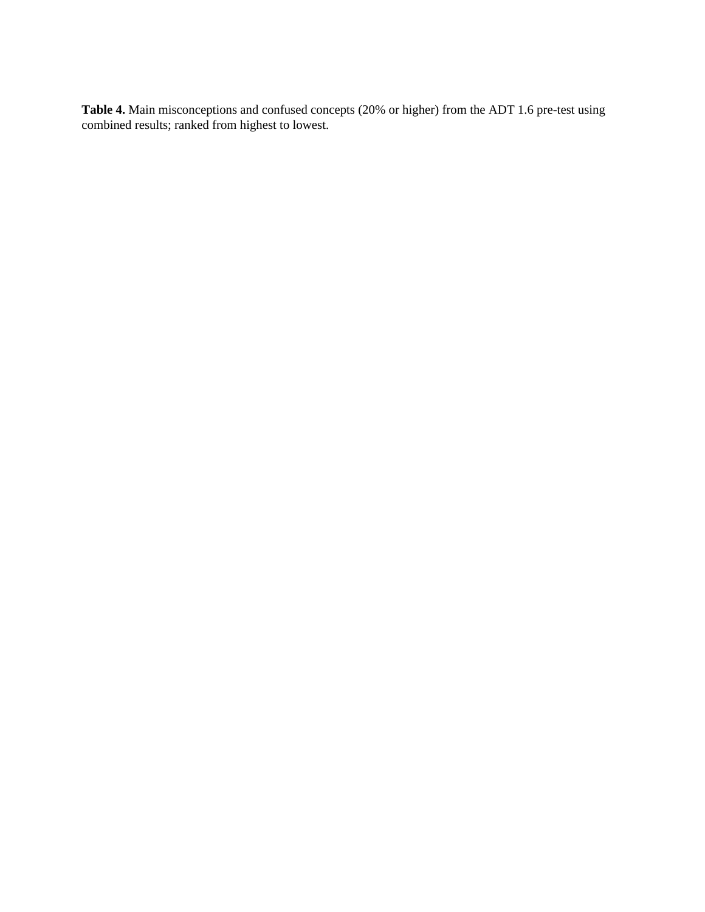**Table 4.** Main misconceptions and confused concepts (20% or higher) from the ADT 1.6 pre-test using combined results; ranked from highest to lowest.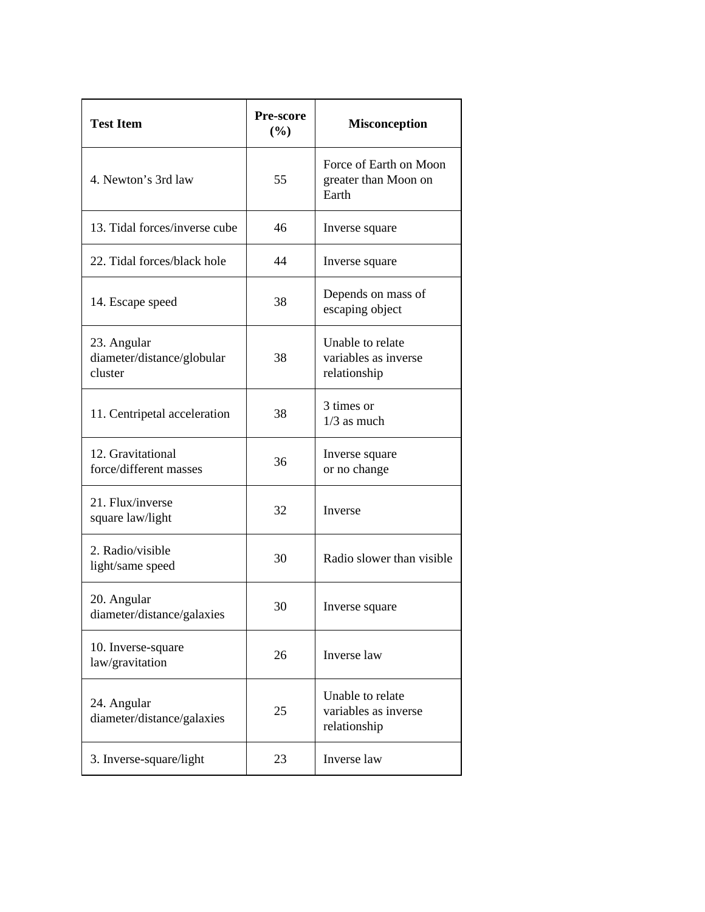| <b>Test Item</b>                                     | <b>Pre-score</b><br>$(\%)$ | <b>Misconception</b>                                     |
|------------------------------------------------------|----------------------------|----------------------------------------------------------|
| 4. Newton's 3rd law                                  | 55                         | Force of Earth on Moon<br>greater than Moon on<br>Earth  |
| 13. Tidal forces/inverse cube                        | 46                         | Inverse square                                           |
| 22. Tidal forces/black hole                          | 44                         | Inverse square                                           |
| 14. Escape speed                                     | 38                         | Depends on mass of<br>escaping object                    |
| 23. Angular<br>diameter/distance/globular<br>cluster | 38                         | Unable to relate<br>variables as inverse<br>relationship |
| 11. Centripetal acceleration                         | 38                         | 3 times or<br>$1/3$ as much                              |
| 12. Gravitational<br>force/different masses          | 36                         | Inverse square<br>or no change                           |
| 21. Flux/inverse<br>square law/light                 | 32                         | Inverse                                                  |
| 2. Radio/visible<br>light/same speed                 | 30                         | Radio slower than visible                                |
| 20. Angular<br>diameter/distance/galaxies            | 30                         | Inverse square                                           |
| 10. Inverse-square<br>law/gravitation                | 26                         | Inverse law                                              |
| 24. Angular<br>diameter/distance/galaxies            | 25                         | Unable to relate<br>variables as inverse<br>relationship |
| 3. Inverse-square/light                              | 23                         | Inverse law                                              |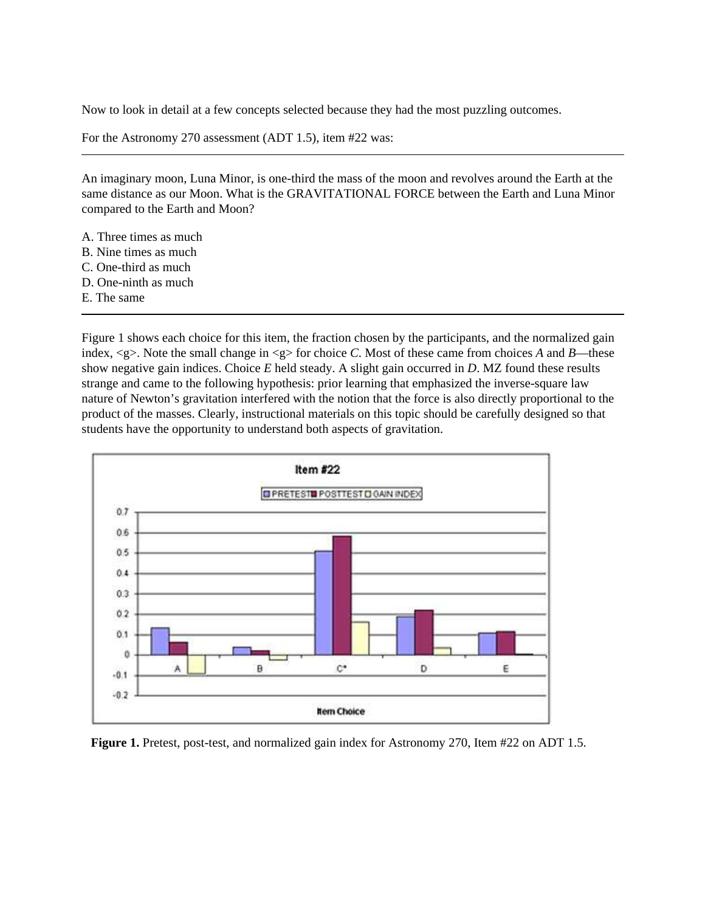Now to look in detail at a few concepts selected because they had the most puzzling outcomes.

For the Astronomy 270 assessment (ADT 1.5), item #22 was:

An imaginary moon, Luna Minor, is one-third the mass of the moon and revolves around the Earth at the same distance as our Moon. What is the GRAVITATIONAL FORCE between the Earth and Luna Minor compared to the Earth and Moon?

- A. Three times as much
- B. Nine times as much
- C. One-third as much
- D. One-ninth as much
- E. The same

Figure 1 shows each choice for this item, the fraction chosen by the participants, and the normalized gain index, <g>. Note the small change in <g> for choice *C*. Most of these came from choices *A* and *B*—these show negative gain indices. Choice *E* held steady. A slight gain occurred in *D*. MZ found these results strange and came to the following hypothesis: prior learning that emphasized the inverse-square law nature of Newton's gravitation interfered with the notion that the force is also directly proportional to the product of the masses. Clearly, instructional materials on this topic should be carefully designed so that students have the opportunity to understand both aspects of gravitation.



**Figure 1.** Pretest, post-test, and normalized gain index for Astronomy 270, Item #22 on ADT 1.5.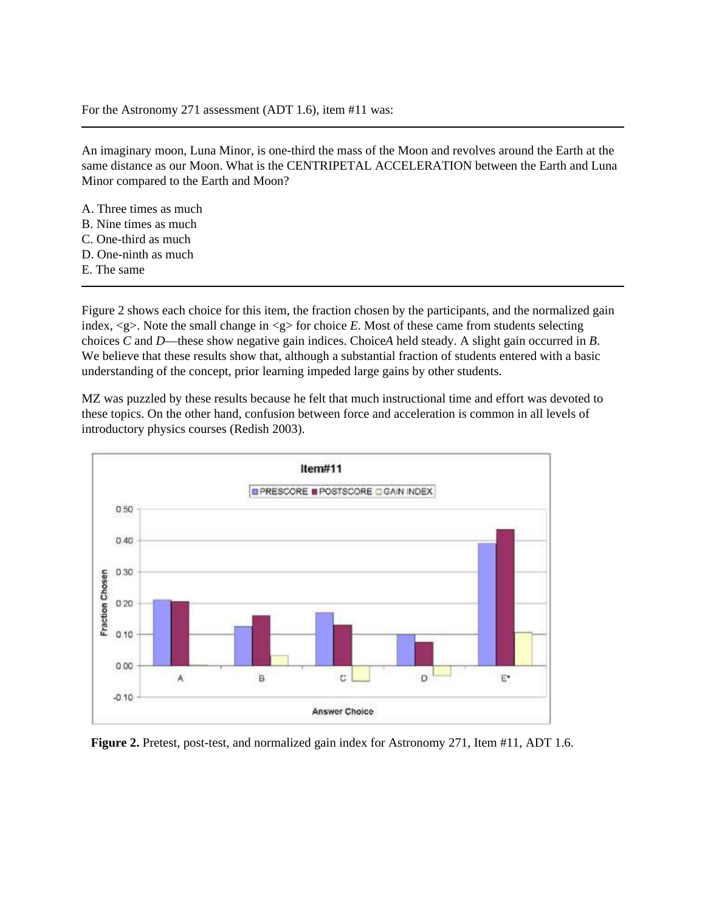#### For the Astronomy 271 assessment (ADT 1.6), item #11 was:

An imaginary moon, Luna Minor, is one-third the mass of the Moon and revolves around the Earth at the same distance as our Moon. What is the CENTRIPETAL ACCELERATION between the Earth and Luna Minor compared to the Earth and Moon?

- A. Three times as much B. Nine times as much C. One-third as much D. One-ninth as much
- E. The same

Figure 2 shows each choice for this item, the fraction chosen by the participants, and the normalized gain index,  $\langle g \rangle$ . Note the small change in  $\langle g \rangle$  for choice *E*. Most of these came from students selecting choices *C* and *D*—these show negative gain indices. ChoiceA held steady. A slight gain occurred in *B*. We believe that these results show that, although a substantial fraction of students entered with a basic understanding of the concept, prior learning impeded large gains by other students.

MZ was puzzled by these results because he felt that much instructional time and effort was devoted to these topics. On the other hand, confusion between force and acceleration is common in all levels of introductory physics courses (Redish 2003).



**Figure 2.** Pretest, post-test, and normalized gain index for Astronomy 271, Item #11, ADT 1.6.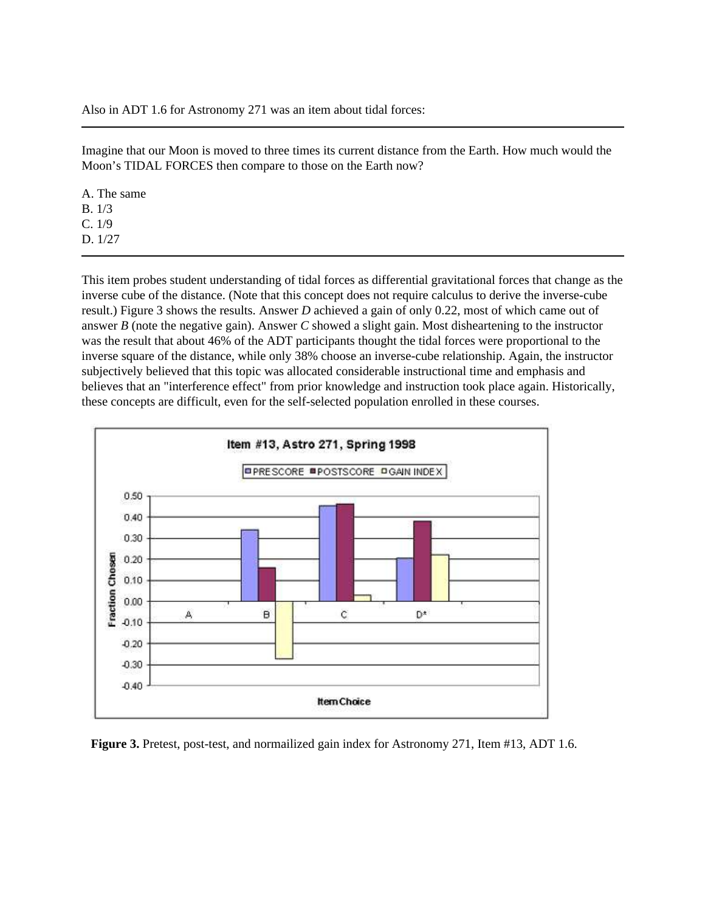Also in ADT 1.6 for Astronomy 271 was an item about tidal forces:

Imagine that our Moon is moved to three times its current distance from the Earth. How much would the Moon's TIDAL FORCES then compare to those on the Earth now?

A. The same B. 1/3 C. 1/9 D. 1/27

This item probes student understanding of tidal forces as differential gravitational forces that change as the inverse cube of the distance. (Note that this concept does not require calculus to derive the inverse-cube result.) Figure 3 shows the results. Answer *D* achieved a gain of only 0.22, most of which came out of answer *B* (note the negative gain). Answer *C* showed a slight gain. Most disheartening to the instructor was the result that about 46% of the ADT participants thought the tidal forces were proportional to the inverse square of the distance, while only 38% choose an inverse-cube relationship. Again, the instructor subjectively believed that this topic was allocated considerable instructional time and emphasis and believes that an "interference effect" from prior knowledge and instruction took place again. Historically, these concepts are difficult, even for the self-selected population enrolled in these courses.



**Figure 3.** Pretest, post-test, and normailized gain index for Astronomy 271, Item #13, ADT 1.6.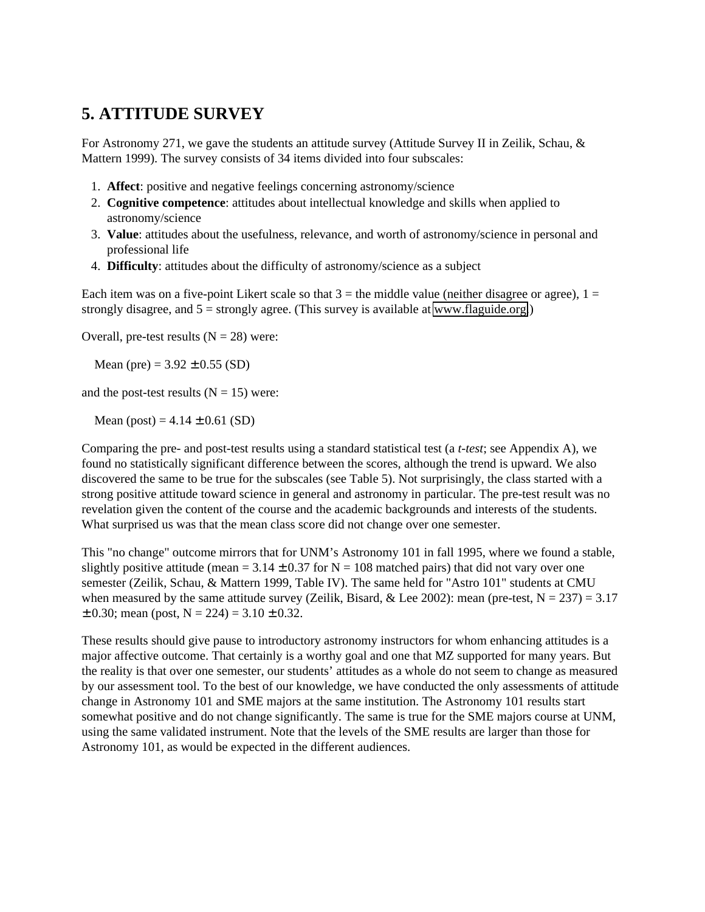#### **5. ATTITUDE SURVEY**

For Astronomy 271, we gave the students an attitude survey (Attitude Survey II in Zeilik, Schau, & Mattern 1999). The survey consists of 34 items divided into four subscales:

- 1. **Affect**: positive and negative feelings concerning astronomy/science
- 2. **Cognitive competence**: attitudes about intellectual knowledge and skills when applied to astronomy/science
- 3. **Value**: attitudes about the usefulness, relevance, and worth of astronomy/science in personal and professional life
- 4. **Difficulty**: attitudes about the difficulty of astronomy/science as a subject

Each item was on a five-point Likert scale so that  $3 =$  the middle value (neither disagree or agree),  $1 =$ strongly disagree, and  $5 =$  strongly agree. (This survey is available at [www.flaguide.org.](http://aer.noao.edu/cgi-bin/www.flaguide.org))

Overall, pre-test results  $(N = 28)$  were:

Mean (pre) =  $3.92 \pm 0.55$  (SD)

and the post-test results  $(N = 15)$  were:

Mean (post) =  $4.14 \pm 0.61$  (SD)

Comparing the pre- and post-test results using a standard statistical test (a *t-test*; see Appendix A), we found no statistically significant difference between the scores, although the trend is upward. We also discovered the same to be true for the subscales (see Table 5). Not surprisingly, the class started with a strong positive attitude toward science in general and astronomy in particular. The pre-test result was no revelation given the content of the course and the academic backgrounds and interests of the students. What surprised us was that the mean class score did not change over one semester.

This "no change" outcome mirrors that for UNM's Astronomy 101 in fall 1995, where we found a stable, slightly positive attitude (mean =  $3.14 \pm 0.37$  for N = 108 matched pairs) that did not vary over one semester (Zeilik, Schau, & Mattern 1999, Table IV). The same held for "Astro 101" students at CMU when measured by the same attitude survey (Zeilik, Bisard, & Lee 2002): mean (pre-test,  $N = 237$ ) = 3.17  $\pm$  0.30; mean (post, N = 224) = 3.10  $\pm$  0.32.

These results should give pause to introductory astronomy instructors for whom enhancing attitudes is a major affective outcome. That certainly is a worthy goal and one that MZ supported for many years. But the reality is that over one semester, our students' attitudes as a whole do not seem to change as measured by our assessment tool. To the best of our knowledge, we have conducted the only assessments of attitude change in Astronomy 101 and SME majors at the same institution. The Astronomy 101 results start somewhat positive and do not change significantly. The same is true for the SME majors course at UNM, using the same validated instrument. Note that the levels of the SME results are larger than those for Astronomy 101, as would be expected in the different audiences.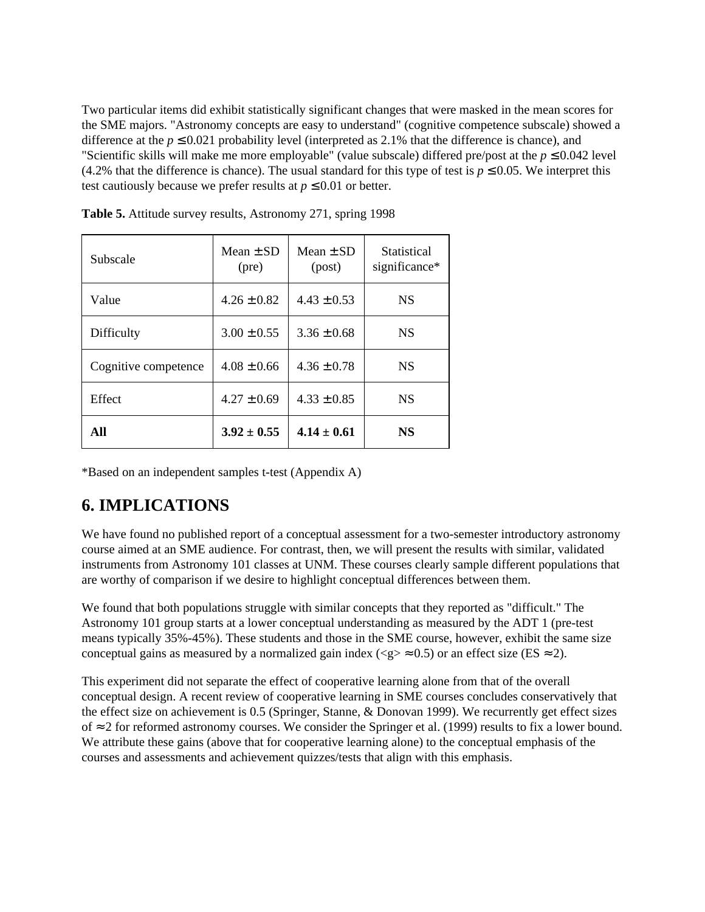Two particular items did exhibit statistically significant changes that were masked in the mean scores for the SME majors. "Astronomy concepts are easy to understand" (cognitive competence subscale) showed a difference at the  $p \le 0.021$  probability level (interpreted as 2.1% that the difference is chance), and "Scientific skills will make me more employable" (value subscale) differed pre/post at the  $p \le 0.042$  level (4.2% that the difference is chance). The usual standard for this type of test is  $p \le 0.05$ . We interpret this test cautiously because we prefer results at  $p \leq 0.01$  or better.

| Subscale             | Mean $\pm$ SD<br>$(\text{pre})$ | Mean $\pm$ SD<br>(post) | Statistical<br>significance* |
|----------------------|---------------------------------|-------------------------|------------------------------|
| Value                | $4.26 \pm 0.82$                 | $4.43 \pm 0.53$         | <b>NS</b>                    |
| Difficulty           | $3.00 \pm 0.55$                 | $3.36 \pm 0.68$         | <b>NS</b>                    |
| Cognitive competence | $4.08 + 0.66$                   | $4.36 \pm 0.78$         | <b>NS</b>                    |
| Effect               | $4.27 \pm 0.69$                 | $4.33 \pm 0.85$         | <b>NS</b>                    |
| All                  | $3.92 \pm 0.55$                 | $4.14 + 0.61$           | <b>NS</b>                    |

**Table 5.** Attitude survey results, Astronomy 271, spring 1998

\*Based on an independent samples t-test (Appendix A)

# **6. IMPLICATIONS**

We have found no published report of a conceptual assessment for a two-semester introductory astronomy course aimed at an SME audience. For contrast, then, we will present the results with similar, validated instruments from Astronomy 101 classes at UNM. These courses clearly sample different populations that are worthy of comparison if we desire to highlight conceptual differences between them.

We found that both populations struggle with similar concepts that they reported as "difficult." The Astronomy 101 group starts at a lower conceptual understanding as measured by the ADT 1 (pre-test means typically 35%-45%). These students and those in the SME course, however, exhibit the same size conceptual gains as measured by a normalized gain index ( $\langle \varphi \rangle \approx 0.5$ ) or an effect size (ES  $\approx 2$ ).

This experiment did not separate the effect of cooperative learning alone from that of the overall conceptual design. A recent review of cooperative learning in SME courses concludes conservatively that the effect size on achievement is 0.5 (Springer, Stanne, & Donovan 1999). We recurrently get effect sizes of ≈ 2 for reformed astronomy courses. We consider the Springer et al. (1999) results to fix a lower bound. We attribute these gains (above that for cooperative learning alone) to the conceptual emphasis of the courses and assessments and achievement quizzes/tests that align with this emphasis.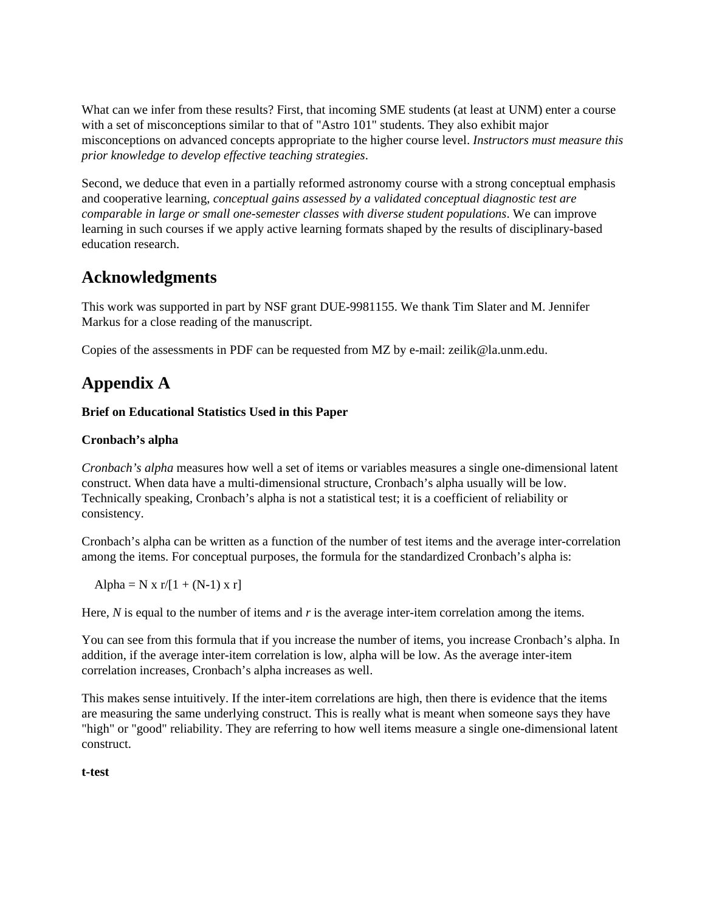What can we infer from these results? First, that incoming SME students (at least at UNM) enter a course with a set of misconceptions similar to that of "Astro 101" students. They also exhibit major misconceptions on advanced concepts appropriate to the higher course level. *Instructors must measure this prior knowledge to develop effective teaching strategies*.

Second, we deduce that even in a partially reformed astronomy course with a strong conceptual emphasis and cooperative learning, *conceptual gains assessed by a validated conceptual diagnostic test are comparable in large or small one-semester classes with diverse student populations*. We can improve learning in such courses if we apply active learning formats shaped by the results of disciplinary-based education research.

### **Acknowledgments**

This work was supported in part by NSF grant DUE-9981155. We thank Tim Slater and M. Jennifer Markus for a close reading of the manuscript.

Copies of the assessments in PDF can be requested from MZ by e-mail: zeilik@la.unm.edu.

# **Appendix A**

#### **Brief on Educational Statistics Used in this Paper**

#### **Cronbach's alpha**

*Cronbach's alpha* measures how well a set of items or variables measures a single one-dimensional latent construct. When data have a multi-dimensional structure, Cronbach's alpha usually will be low. Technically speaking, Cronbach's alpha is not a statistical test; it is a coefficient of reliability or consistency.

Cronbach's alpha can be written as a function of the number of test items and the average inter-correlation among the items. For conceptual purposes, the formula for the standardized Cronbach's alpha is:

Alpha = N x r/[1 + (N-1) x r]

Here, *N* is equal to the number of items and *r* is the average inter-item correlation among the items.

You can see from this formula that if you increase the number of items, you increase Cronbach's alpha. In addition, if the average inter-item correlation is low, alpha will be low. As the average inter-item correlation increases, Cronbach's alpha increases as well.

This makes sense intuitively. If the inter-item correlations are high, then there is evidence that the items are measuring the same underlying construct. This is really what is meant when someone says they have "high" or "good" reliability. They are referring to how well items measure a single one-dimensional latent construct.

#### **t-test**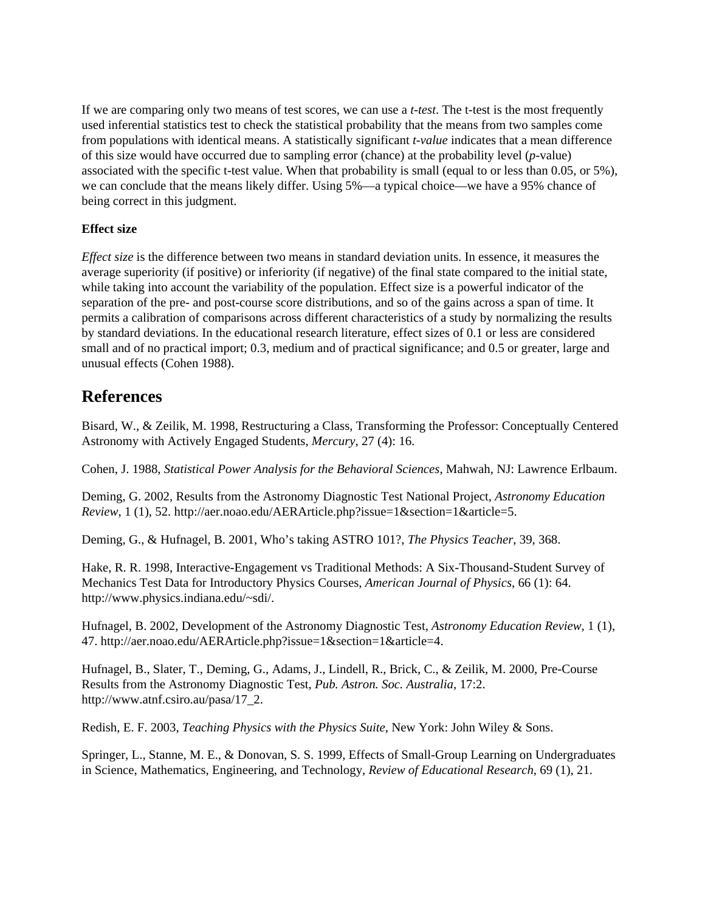If we are comparing only two means of test scores, we can use a *t-test*. The t-test is the most frequently used inferential statistics test to check the statistical probability that the means from two samples come from populations with identical means. A statistically significant *t-value* indicates that a mean difference of this size would have occurred due to sampling error (chance) at the probability level (*p*-value) associated with the specific t-test value. When that probability is small (equal to or less than 0.05, or 5%), we can conclude that the means likely differ. Using 5%—a typical choice—we have a 95% chance of being correct in this judgment.

#### **Effect size**

*Effect size* is the difference between two means in standard deviation units. In essence, it measures the average superiority (if positive) or inferiority (if negative) of the final state compared to the initial state, while taking into account the variability of the population. Effect size is a powerful indicator of the separation of the pre- and post-course score distributions, and so of the gains across a span of time. It permits a calibration of comparisons across different characteristics of a study by normalizing the results by standard deviations. In the educational research literature, effect sizes of 0.1 or less are considered small and of no practical import; 0.3, medium and of practical significance; and 0.5 or greater, large and unusual effects (Cohen 1988).

#### **References**

Bisard, W., & Zeilik, M. 1998, Restructuring a Class, Transforming the Professor: Conceptually Centered Astronomy with Actively Engaged Students, *Mercury*, 27 (4): 16.

Cohen, J. 1988, *Statistical Power Analysis for the Behavioral Sciences*, Mahwah, NJ: Lawrence Erlbaum.

Deming, G. 2002, Results from the Astronomy Diagnostic Test National Project, *Astronomy Education Review*, 1 (1), 52. http://aer.noao.edu/AERArticle.php?issue=1&section=1&article=5.

Deming, G., & Hufnagel, B. 2001, Who's taking ASTRO 101?, *The Physics Teacher*, 39, 368.

Hake, R. R. 1998, Interactive-Engagement vs Traditional Methods: A Six-Thousand-Student Survey of Mechanics Test Data for Introductory Physics Courses, *American Journal of Physics*, 66 (1): 64. http://www.physics.indiana.edu/~sdi/.

Hufnagel, B. 2002, Development of the Astronomy Diagnostic Test, *Astronomy Education Review*, 1 (1), 47. http://aer.noao.edu/AERArticle.php?issue=1&section=1&article=4.

Hufnagel, B., Slater, T., Deming, G., Adams, J., Lindell, R., Brick, C., & Zeilik, M. 2000, Pre-Course Results from the Astronomy Diagnostic Test, *Pub. Astron. Soc. Australia*, 17:2. http://www.atnf.csiro.au/pasa/17\_2.

Redish, E. F. 2003, *Teaching Physics with the Physics Suite*, New York: John Wiley & Sons.

Springer, L., Stanne, M. E., & Donovan, S. S. 1999, Effects of Small-Group Learning on Undergraduates in Science, Mathematics, Engineering, and Technology, *Review of Educational Research*, 69 (1), 21.